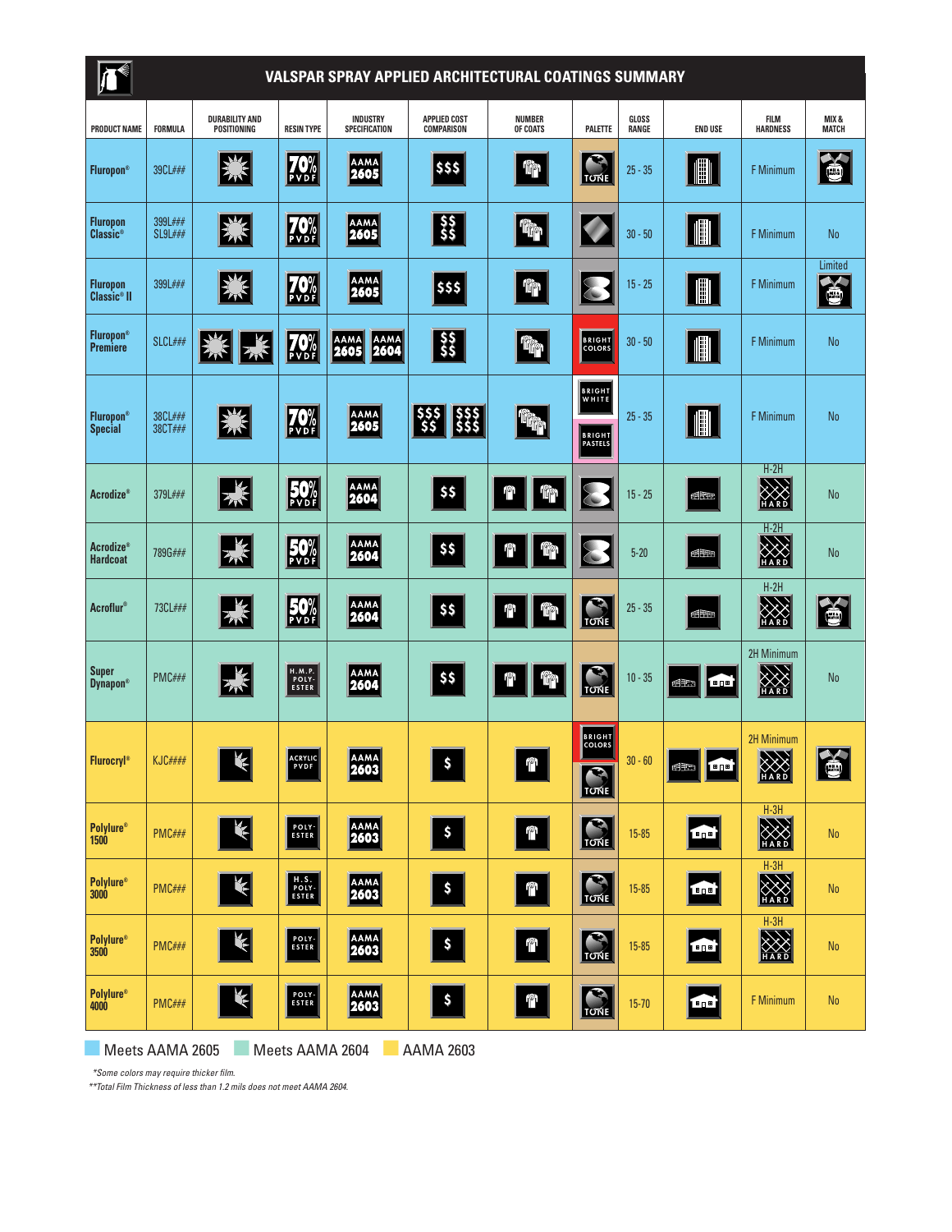| <b>VALSPAR SPRAY APPLIED ARCHITECTURAL COATINGS SUMMARY</b> |                           |                                      |                                          |                                     |                                          |                           |                                                                                               |                |                                                          |                                |                       |
|-------------------------------------------------------------|---------------------------|--------------------------------------|------------------------------------------|-------------------------------------|------------------------------------------|---------------------------|-----------------------------------------------------------------------------------------------|----------------|----------------------------------------------------------|--------------------------------|-----------------------|
| <b>PRODUCT NAME</b>                                         | FORMULA                   | <b>DURABILITY AND</b><br>POSITIONING | <b>RESIN TYPE</b>                        | INDUSTRY<br>SPECIFICATION           | <b>APPLIED COST</b><br><b>COMPARISON</b> | <b>NUMBER</b><br>OF COATS | PALETTE                                                                                       | GLOSS<br>RANGE | <b>END USE</b>                                           | <b>FILM</b><br><b>HARDNESS</b> | MIX &<br><b>MATCH</b> |
| <b>Fluropon®</b>                                            | 39CL###                   | 蹊                                    | <b>70%</b>                               | <b>AAMA</b><br>2605                 | \$\$\$                                   | rp.                       | $\blacktriangleright$<br><b>TONE</b>                                                          | $25 - 35$      |                                                          | F Minimum                      | 畜                     |
| <b>Fluropon</b><br>Classic <sup>®</sup>                     | 399L###<br><b>SL9L###</b> | 緊                                    | <b>70%</b>                               | <b>AAMA</b><br>2605                 | $\frac{55}{55}$                          | 命                         |                                                                                               | $30 - 50$      | III                                                      | F Minimum                      | <b>No</b>             |
| <b>Fluropon</b><br>Classic <sup>®</sup> II                  | 399L###                   | 器                                    | <b>70%</b>                               | <b>AAMA</b><br>2605                 | \$\$\$                                   | 19p                       |                                                                                               | $15 - 25$      | IIII                                                     | <b>F</b> Minimum               | Limited<br>Š          |
| <b>Fluropon®</b><br><b>Premiere</b>                         | SLCL###                   | 影                                    | <b>70%</b>                               | <b>AAMA</b><br>2604<br>AAMA<br>2605 | $\frac{55}{55}$                          | <b>的</b>                  | <b>BRIGHT</b><br>COLORS                                                                       | $30 - 50$      | III                                                      | F Minimum                      | <b>No</b>             |
| <b>Fluropon®</b><br><b>Special</b>                          | 38CL###<br>38CT###        | 贸                                    | <b>70%</b>                               | <b>AAMA</b><br>2605                 | $\frac{555}{555}$<br><b>sss</b><br>\$\$  | <b>AND</b>                | <b>BRIGHT</b><br>WHITE<br><b>BRIGHT</b><br>PASTELS                                            | $25 - 35$      | $\left\  \begin{matrix} 0 \ 0 \ 0 \end{matrix} \right\ $ | F Minimum                      | No                    |
| <b>Acrodize®</b>                                            | 379L###                   | 23                                   | <b>50%</b>                               | <b>AAMA</b><br>2604                 | \$\$                                     | ĩp<br>րջի                 |                                                                                               | $15 - 25$      | <b>FIFE</b>                                              | $H-2H$<br>XXX                  | <b>No</b>             |
| <b>Acrodize®</b><br><b>Hardcoat</b>                         | 789G###                   | 器                                    | <b>50%</b>                               | <b>AAMA</b><br>2604                 | \$\$                                     | 11p<br>⋔                  |                                                                                               | $5 - 20$       | ∉Æ                                                       | $H-2H$<br>X                    | <b>No</b>             |
| <b>Acroflur</b> ®                                           | 73CL###                   | 米                                    | 50%                                      | <b>AAMA</b><br>2604                 | \$\$                                     | <b>Tip</b><br>⋔           | <b>TONE</b>                                                                                   | $25 - 35$      | <b>ff</b>                                                | $H-2H$<br>X                    | 首                     |
| <b>Super</b><br><b>Dynapon®</b>                             | PMC###                    | 器                                    | H.M.P.<br>POLY-<br>ESTER                 | <b>AAMA</b><br>2604                 | \$\$                                     | 11p<br>nPh                | $\blacktriangleright$<br><b>TONE</b>                                                          | $10 - 35$      | ₫m<br> 田口田                                               | 2H Minimum<br>XX               | No                    |
| <b>Flurocryl®</b>                                           | <b>KJC####</b>            | $\overline{M}$ .<br>К                | ACRYLIC<br>PVDF                          | AAMA<br><b>2603</b>                 | $\boldsymbol{s}$                         | $\mathbb{P}$              | <b>BRIGHT</b><br><b>COLORS</b><br>$\overline{\overline{\overline{\overline{\overline{C}}}}}}$ | $30 - 60$      | B<br>图面                                                  | <b>2H Minimum</b><br>77<br>XXX | 窗                     |
| <b>Polylure®</b><br><b>1500</b>                             | <b>PMC###</b>             | Ķ                                    | POLY-                                    | <b>AAMA</b><br>2603                 | $\pmb{\mathsf{s}}$                       | $\mathbb{P}$              | $\frac{1}{\frac{1}{\frac{1}{\frac{1}{\sqrt{1}}}}\sqrt{\frac{1}{\frac{1}{\sqrt{1}}}}}}$        | 15-85          | <b>FOR</b>                                               | $H-3H$<br>X                    | <b>No</b>             |
| <b>Polylure®</b><br><b>3000</b>                             | PMC###                    | $\blacktriangledown$                 | $\frac{\text{H.S.}}{\text{POLY-}}$ ESTER | <b>AAMA</b><br>2603                 | $\pmb{\mathsf{s}}$                       | $\mathbb{P}$              | $\frac{1}{\frac{1}{\frac{1}{\frac{1}{\sqrt{N}}}}\frac{1}{\sqrt{N}}}$                          | $15 - 85$      | 画                                                        | $H-3H$<br>X                    | <b>No</b>             |
| <b>Polylure®</b><br>3500                                    | PMC###                    | $\leq$                               | POLY-<br>ESTER                           | <b>AAMA</b><br>2603                 | $\pmb{\mathsf{s}}$                       | $\mathbb{P}$              | $\frac{1}{\frac{1}{\frac{1}{\sqrt{N}}}}$                                                      | 15-85          | 18 pm                                                    | $H-3H$<br>XXX                  | <b>No</b>             |
| <b>Polylure®</b><br>4000                                    | PMC###                    | Ķ                                    | POLY-<br>ESTER                           | <b>AAMA</b><br>2603                 | $\pmb{\mathsf{s}}$                       | $\mathbb{P}$              | TUNE                                                                                          | $15 - 70$      | B                                                        | F Minimum                      | No                    |

**■** Meets AAMA 2605 **■** Meets AAMA 2604 **■** AAMA 2603

*\*Some colors may require thicker film.*

*\*\*Total Film Thickness of less than 1.2 mils does not meet AAMA 2604.*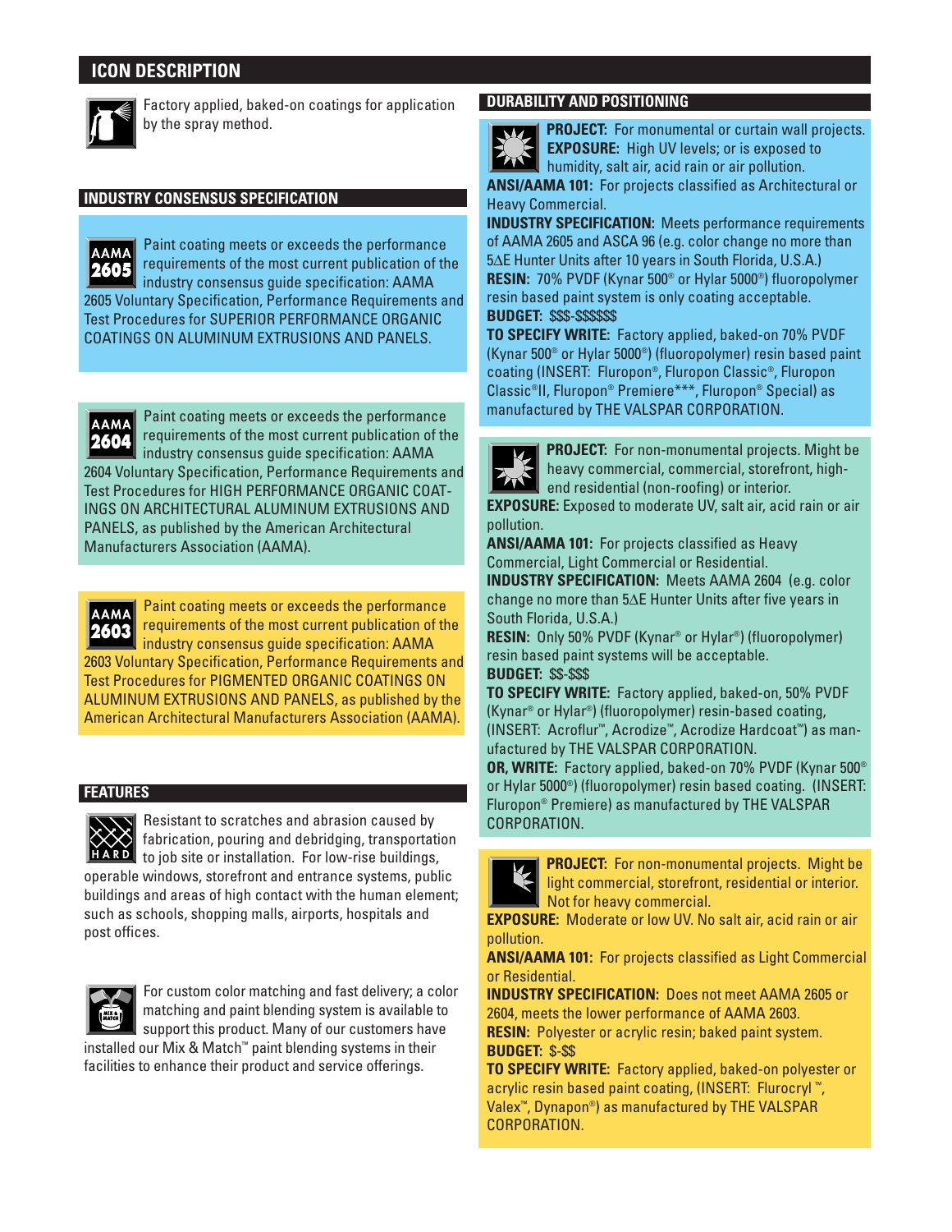## **ICON DESCRIPTION**



Factory applied, baked-on coatings for application by the spray method.

## **INDUSTRY CONSENSUS SPECIFICATION**

Paint coating meets or exceeds the performance **AAMA** requirements of the most current publication of the |2605 industry consensus guide specification: AAMA 2605 Voluntary Specification, Performance Requirements and Test Procedures for SUPERIOR PERFORMANCE ORGANIC COATINGS ON ALUMINUM EXTRUSIONS AND PANELS.

Paint coating meets or exceeds the performance **AAMA** requirements of the most current publication of the **2004**<br> **2604 Vo**<br> **2604 DRIELS**<br> **2603<br>
2603** industry consensus guide specification: AAMA 2604 Voluntary Specification, Performance Requirements and Test Procedures for HIGH PERFORMANCE ORGANIC COAT-INGS ON ARCHITECTURAL ALUMINUM EXTRUSIONS AND PANELS, as published by the American Architectural Manufacturers Association (AAMA).

Paint coating meets or exceeds the performance requirements of the most current publication of the industry consensus guide specification: AAMA 2603 Voluntary Specification, Performance Requirements and Test Procedures for PIGMENTED ORGANIC COATINGS ON ALUMINUM EXTRUSIONS AND PANELS, as published by the American Architectural Manufacturers Association (AAMA).

## **FEATURES**



**Resistant to scratches and abrasion caused by** fabrication, pouring and debridging, transportation **HARD** to job site or installation. For low-rise buildings, operable windows, storefront and entrance systems, public buildings and areas of high contact with the human element; such as schools, shopping malls, airports, hospitals and



post offices.

For custom color matching and fast delivery; a color matching and paint blending system is available to support this product. Many of our customers have installed our Mix & Match™ paint blending systems in their

facilities to enhance their product and service offerings.

## **DURABILITY AND POSITIONING**



E

**PROJECT:** For monumental or curtain wall projects. **EXPOSURE:** High UV levels; or is exposed to **THE INTERNATIONAL PROPERTY AND THE INCREDICT OF ALL AND THE INCREDICT OF A LIMITED AT A LIMITED AT A LIMITED ANSI/AAMA 101:** For projects classified as Architectural or

Heavy Commercial.

**INDUSTRY SPECIFICATION:** Meets performance requirements of AAMA 2605 and ASCA 96 (e.g. color change no more than 5∆E Hunter Units after 10 years in South Florida, U.S.A.) **RESIN:** 70% PVDF (Kynar 500® or Hylar 5000®) fluoropolymer resin based paint system is only coating acceptable. **BUDGET:** \$\$\$-\$\$\$\$\$\$

**TO SPECIFY WRITE:** Factory applied, baked-on 70% PVDF (Kynar 500® or Hylar 5000®) (fluoropolymer) resin based paint coating (INSERT: Fluropon®, Fluropon Classic®, Fluropon Classic®II, Fluropon® Premiere\*\*\*, Fluropon® Special) as manufactured by THE VALSPAR CORPORATION.

| <b>PROJECT:</b> For non- |
|--------------------------|
| heavy commercial,        |
| end residential (no      |

monumental projects. Might be commercial, storefront, highn-roofing) or interior.

**EXPOSURE:** Exposed to moderate UV, salt air, acid rain or air pollution.

**ANSI/AAMA 101:** For projects classified as Heavy Commercial, Light Commercial or Residential. **INDUSTRY SPECIFICATION:** Meets AAMA 2604 (e.g. color

change no more than 5∆E Hunter Units after five years in South Florida, U.S.A.)

**RESIN:** Only 50% PVDF (Kynar® or Hylar®) (fluoropolymer) resin based paint systems will be acceptable. **BUDGET:** \$\$-\$\$\$

**TO SPECIFY WRITE:** Factory applied, baked-on, 50% PVDF (Kynar® or Hylar®) (fluoropolymer) resin-based coating, (INSERT: Acroflur™, Acrodize™, Acrodize Hardcoat™) as manufactured by THE VALSPAR CORPORATION.

**OR, WRITE:** Factory applied, baked-on 70% PVDF (Kynar 500® or Hylar 5000®) (fluoropolymer) resin based coating. (INSERT: Fluropon® Premiere) as manufactured by THE VALSPAR CORPORATION.

| <b>PROJECT:</b> For no |
|------------------------|
| ight commercial,       |
| Not for heavy cor      |

**n-monumental projects. Might be** storefront, residential or interior. mmercial.

**EXPOSURE:** Moderate or low UV. No salt air, acid rain or air pollution.

**ANSI/AAMA 101:** For projects classified as Light Commercial or Residential.

**INDUSTRY SPECIFICATION:** Does not meet AAMA 2605 or 2604, meets the lower performance of AAMA 2603. **RESIN:** Polyester or acrylic resin; baked paint system. **BUDGET:** \$-\$\$

**TO SPECIFY WRITE:** Factory applied, baked-on polyester or acrylic resin based paint coating, (INSERT: Flurocryl ™, Valex™, Dynapon®) as manufactured by THE VALSPAR CORPORATION.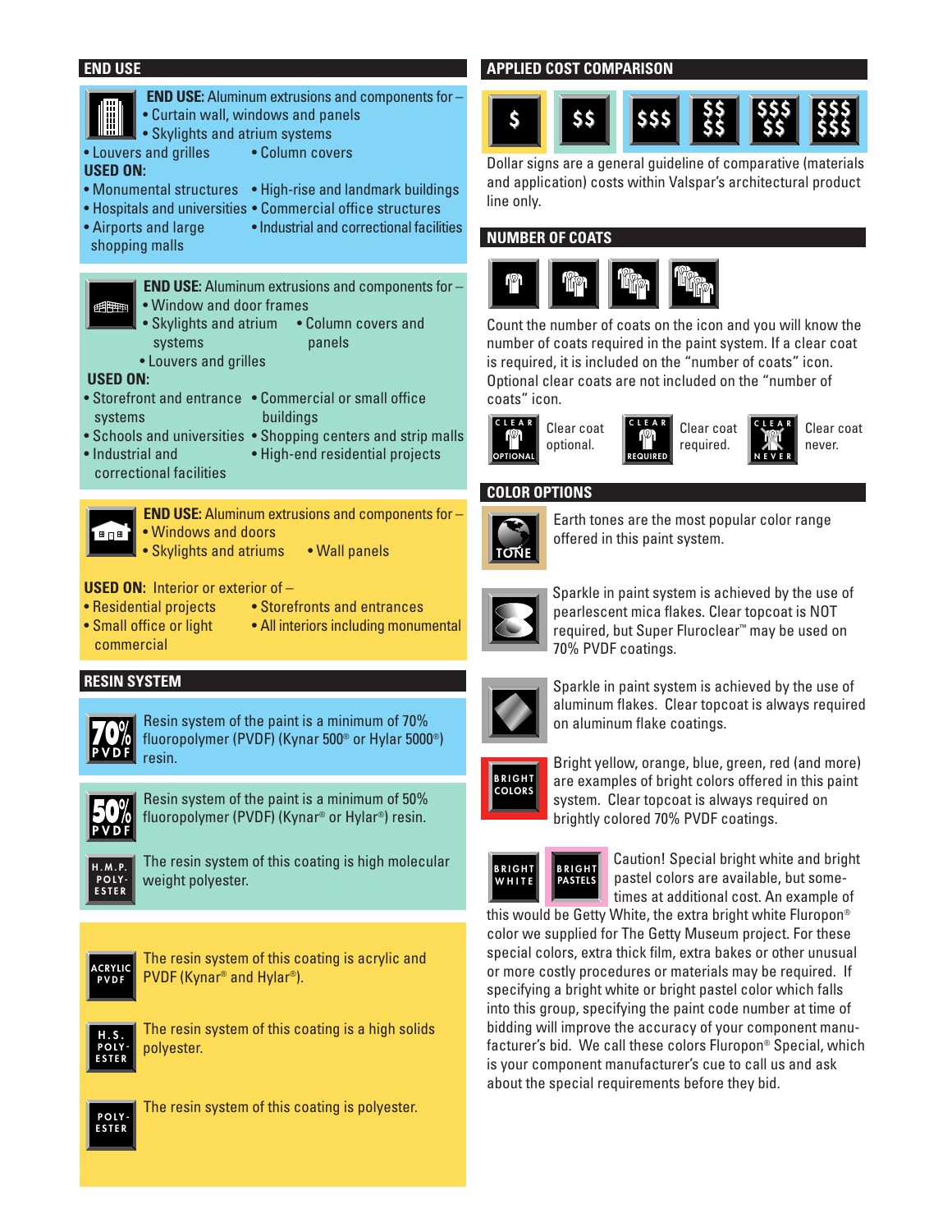### **END USE**





**PVDF**

The resin system of this coating is acrylic and PVDF (Kynar® and Hylar®).



The resin system of this coating is a high solids polyester.



The resin system of this coating is polyester.

## **APPLIED COST COMPARISON**

#### **\$\$\$ \$\$\$ \$\$\$ \$ \$ \$\$ \$ \$ \$ \$ \$ \$\$\$**

Dollar signs are a general guideline of comparative (materials and application) costs within Valspar's architectural product line only.

## **NUMBER OF COATS**



Count the number of coats on the icon and you will know the number of coats required in the paint system. If a clear coat is required, it is included on the "number of coats" icon. Optional clear coats are not included on the "number of coats" icon.





Clear coat required.

**CLEAR NEVER** Clear coat never.

## **COLOR OPTIONS**



Earth tones are the most popular color range offered in this paint system.



Sparkle in paint system is achieved by the use of pearlescent mica flakes. Clear topcoat is NOT required, but Super Fluroclear™ may be used on 70% PVDF coatings.



Sparkle in paint system is achieved by the use of aluminum flakes. Clear topcoat is always required on aluminum flake coatings.



Bright yellow, orange, blue, green, red (and more) are examples of bright colors offered in this paint system. Clear topcoat is always required on brightly colored 70% PVDF coatings.



Caution! Special bright white and bright pastel colors are available, but sometimes at additional cost. An example of

this would be Getty White, the extra bright white Fluropon® color we supplied for The Getty Museum project. For these special colors, extra thick film, extra bakes or other unusual or more costly procedures or materials may be required. If specifying a bright white or bright pastel color which falls into this group, specifying the paint code number at time of bidding will improve the accuracy of your component manufacturer's bid. We call these colors Fluropon® Special, which is your component manufacturer's cue to call us and ask about the special requirements before they bid.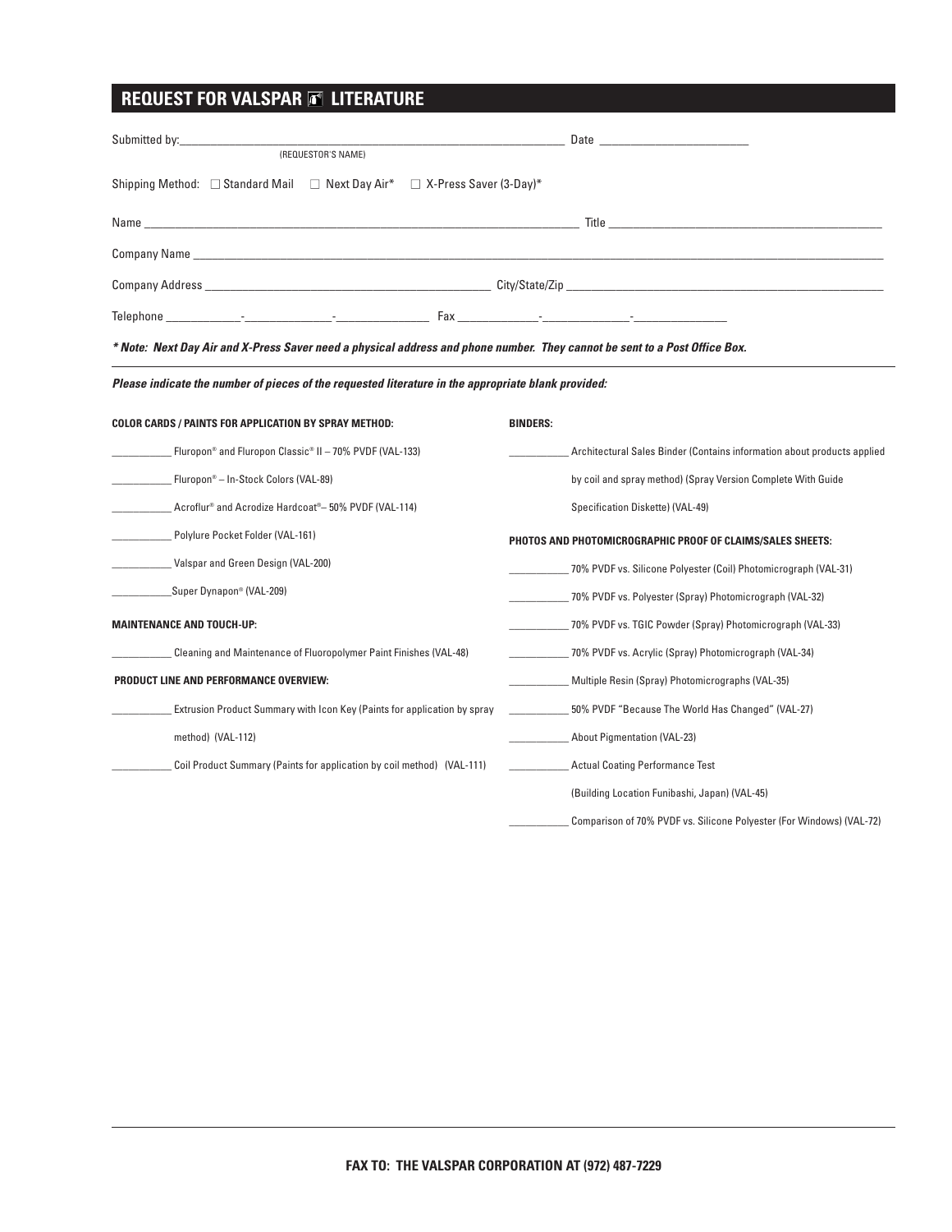## **REQUEST FOR VALSPAR E LITERATURE**

| (REQUESTOR'S NAME)                                                                                                         | Date and the contract of the contract of the contract of the contract of the contract of the contract of the contract of the contract of the contract of the contract of the contract of the contract of the contract of the c |  |  |  |  |  |
|----------------------------------------------------------------------------------------------------------------------------|--------------------------------------------------------------------------------------------------------------------------------------------------------------------------------------------------------------------------------|--|--|--|--|--|
| Shipping Method: □ Standard Mail □ Next Day Air* □ X-Press Saver (3-Day)*                                                  |                                                                                                                                                                                                                                |  |  |  |  |  |
|                                                                                                                            |                                                                                                                                                                                                                                |  |  |  |  |  |
|                                                                                                                            |                                                                                                                                                                                                                                |  |  |  |  |  |
| Company Address City/State/Zip                                                                                             |                                                                                                                                                                                                                                |  |  |  |  |  |
|                                                                                                                            |                                                                                                                                                                                                                                |  |  |  |  |  |
| * Note: Next Day Air and X-Press Saver need a physical address and phone number. They cannot be sent to a Post Office Box. |                                                                                                                                                                                                                                |  |  |  |  |  |
| Please indicate the number of pieces of the requested literature in the appropriate blank provided:                        |                                                                                                                                                                                                                                |  |  |  |  |  |
| <b>COLOR CARDS / PAINTS FOR APPLICATION BY SPRAY METHOD:</b><br><b>BINDERS:</b>                                            |                                                                                                                                                                                                                                |  |  |  |  |  |
| Fluropon® and Fluropon Classic® II - 70% PVDF (VAL-133)                                                                    | Architectural Sales Binder (Contains information about products applied                                                                                                                                                        |  |  |  |  |  |
| Fluropon® – In-Stock Colors (VAL-89)                                                                                       | by coil and spray method) (Spray Version Complete With Guide                                                                                                                                                                   |  |  |  |  |  |
| Acroflur® and Acrodize Hardcoat®– 50% PVDF (VAL-114)                                                                       | Specification Diskette) (VAL-49)                                                                                                                                                                                               |  |  |  |  |  |
| Polylure Pocket Folder (VAL-161)                                                                                           | PHOTOS AND PHOTOMICROGRAPHIC PROOF OF CLAIMS/SALES SHEETS:                                                                                                                                                                     |  |  |  |  |  |
| Valspar and Green Design (VAL-200)                                                                                         | _________ 70% PVDF vs. Silicone Polyester (Coil) Photomicrograph (VAL-31)                                                                                                                                                      |  |  |  |  |  |
| Super Dynapon® (VAL-209)                                                                                                   | 70% PVDF vs. Polyester (Spray) Photomicrograph (VAL-32)                                                                                                                                                                        |  |  |  |  |  |
| <b>MAINTENANCE AND TOUCH-UP:</b>                                                                                           | _70% PVDF vs. TGIC Powder (Spray) Photomicrograph (VAL-33)                                                                                                                                                                     |  |  |  |  |  |
| Cleaning and Maintenance of Fluoropolymer Paint Finishes (VAL-48)                                                          | _70% PVDF vs. Acrylic (Spray) Photomicrograph (VAL-34)                                                                                                                                                                         |  |  |  |  |  |
| <b>PRODUCT LINE AND PERFORMANCE OVERVIEW:</b>                                                                              | Multiple Resin (Spray) Photomicrographs (VAL-35)                                                                                                                                                                               |  |  |  |  |  |
| Extrusion Product Summary with Icon Key (Paints for application by spray                                                   | 50% PVDF "Because The World Has Changed" (VAL-27)                                                                                                                                                                              |  |  |  |  |  |
| method) (VAL-112)                                                                                                          | About Pigmentation (VAL-23)                                                                                                                                                                                                    |  |  |  |  |  |
| Coil Product Summary (Paints for application by coil method) (VAL-111)                                                     | <b>Actual Coating Performance Test</b>                                                                                                                                                                                         |  |  |  |  |  |
|                                                                                                                            | (Building Location Funibashi, Japan) (VAL-45)                                                                                                                                                                                  |  |  |  |  |  |
|                                                                                                                            | Comparison of 70% PVDF vs. Silicone Polyester (For Windows) (VAL-72)                                                                                                                                                           |  |  |  |  |  |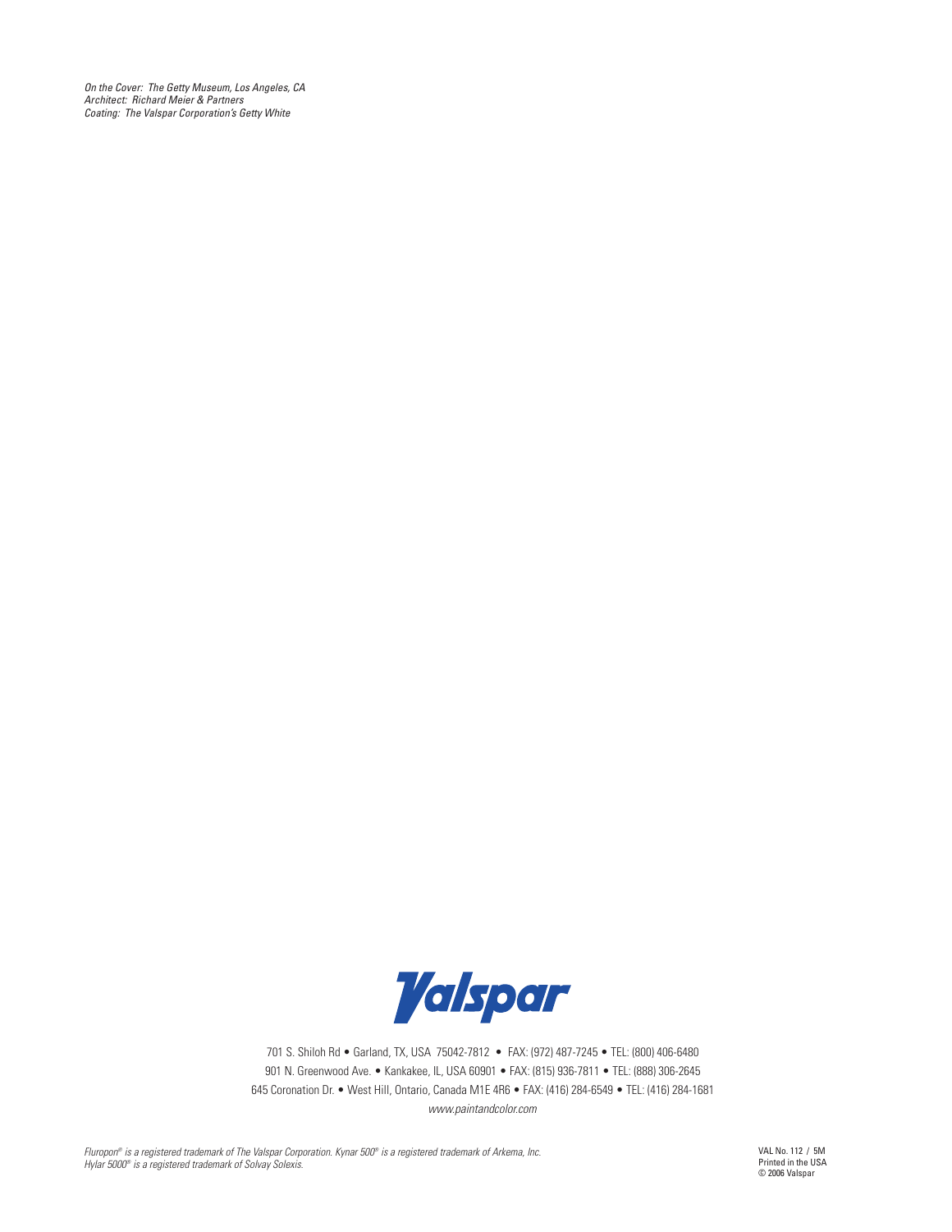*On the Cover: The Getty Museum, Los Angeles, CA Architect: Richard Meier & Partners Coating: The Valspar Corporation's Getty White*



701 S. Shiloh Rd • Garland, TX, USA 75042-7812 • FAX: (972) 487-7245 • TEL: (800) 406-6480 901 N. Greenwood Ave. • Kankakee, IL, USA 60901 • FAX: (815) 936-7811 • TEL: (888) 306-2645 645 Coronation Dr. • West Hill, Ontario, Canada M1E 4R6 • FAX: (416) 284-6549 • TEL: (416) 284-1681 *www.paintandcolor.com*

*Fluropon® is a registered trademark of The Valspar Corporation. Kynar 500® is a registered trademark of Arkema, Inc. Hylar 5000® is a registered trademark of Solvay Solexis.* 

VAL No. 112 / 5M Printed in the USA © 2006 Valspar